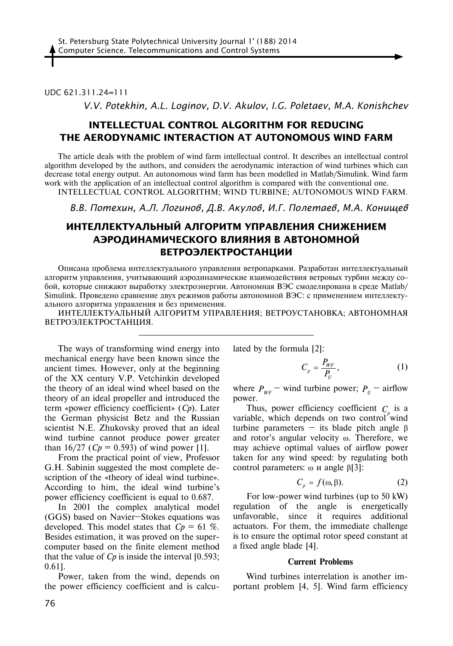## UDC 621.311.24=111

*V.V. Potekhin, A.L. Loginov, D.V. Akulov, I.G. Poletaev, M.A. Konishchev*

# **INTELLECTUAL CONTROL ALGORITHM FOR REDUCING THE AERODYNAMIC INTERACTION AT AUTONOMOUS WIND FARM**

The article deals with the problem of wind farm intellectual control. It describes an intellectual control algorithm developed by the authors, and considers the aerodynamic interaction of wind turbines which can decrease total energy output. An autonomous wind farm has been modelled in Matlab/Simulink. Wind farm work with the application of an intellectual control algorithm is compared with the conventional one. INTELLECTUAL CONTROL ALGORITHM; WIND TURBINE; AUTONOMOUS WIND FARM.

*В.В. Потехин, А.Л. Логинов, Д.В. Акулов, И.Г. Полетаев, М.А. Конищев* 

# **ИНТЕЛЛЕКТУАЛЬНЫЙ АЛГОРИТМ УПРАВЛЕНИЯ СНИЖЕНИЕМ АЭРОДИНАМИЧЕСКОГО ВЛИЯНИЯ В АВТОНОМНОЙ ВЕТРОЭЛЕКТРОСТАНЦИИ**

Описана проблема интеллектуального управления ветропарками. Разработан интеллектуальный алгоритм управления, учитывающий аэродинамические взаимодействия ветровых турбин между собой, которые снижают выработку электроэнергии. Автономная ВЭС смоделирована в среде Matlab/ Simulink. Проведено сравнение двух режимов работы автономной ВЭС: с применением интеллектуального алгоритма управления и без применения.

ИНТЕЛЛЕКТУАЛЬНЫЙ АЛГОРИТМ УПРАВЛЕНИЯ; ВЕТРОУСТАНОВКА; АВТОНОМНАЯ ВЕТРОЭЛЕКТРОСТАНЦИЯ.

The ways of transforming wind energy into mechanical energy have been known since the ancient times. However, only at the beginning of the XX century V.P. Vetchinkin developed the theory of an ideal wind wheel based on the theory of an ideal propeller and introduced the term «power efficiency coefficient» (*Cp*). Later the German physicist Betz and the Russian scientist N.E. Zhukovsky proved that an ideal wind turbine cannot produce power greater than 16/27 ( $C_p = 0.593$ ) of wind power [1].

From the practical point of view, Professor G.H. Sabinin suggested the most complete description of the «theory of ideal wind turbine». According to him, the ideal wind turbine's power efficiency coefficient is equal to 0.687.

In 2001 the complex analytical model (GGS) based on Navier–Stokes equations was developed. This model states that *Cp* = 61 %. Besides estimation, it was proved on the supercomputer based on the finite element method that the value of  $C_p$  is inside the interval  $[0.593]$ ; 0.61].

Power, taken from the wind, depends on the power efficiency coefficient and is calculated by the formula [2]:

$$
C_p = \frac{P_{WF}}{P_U},\tag{1}
$$

where  $P_{WF}$  – wind turbine power;  $P_U$  – airflow power.

Thus, power efficiency coefficient  $C_p$  is a variable, which depends on two control wind turbine parameters – its blade pitch angle β and rotor's angular velocity ω. Therefore, we may achieve optimal values of airflow power taken for any wind speed: by regulating both control parameters: ω и angle β[3]:

$$
C_p = f(\omega, \beta). \tag{2}
$$

For low-power wind turbines (up to 50 kW) regulation of the angle is energetically unfavorable, since it requires additional actuators. For them, the immediate challenge is to ensure the optimal rotor speed constant at a fixed angle blade [4].

#### **Current Problems**

Wind turbines interrelation is another important problem [4, 5]. Wind farm efficiency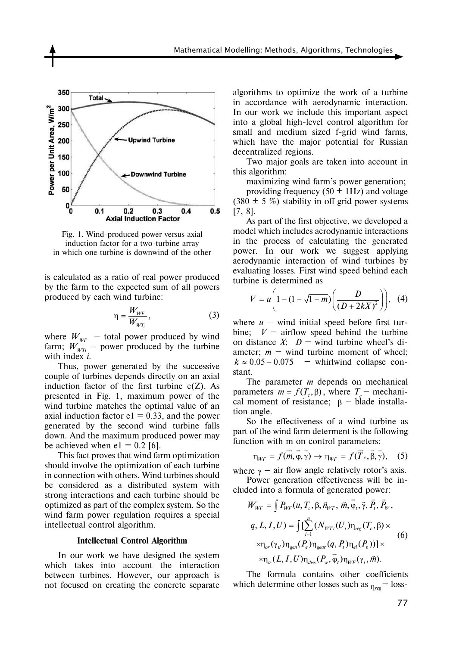

Fig. 1. Wind-produced power versus axial induction factor for a two-turbine array in which one turbine is downwind of the other

is calculated as a ratio of real power produced by the farm to the expected sum of all powers produced by each wind turbine:

$$
\eta = \frac{W_{WF}}{W_{WT_i}},\tag{3}
$$

where  $W_{\text{WF}}$  – total power produced by wind farm;  $W_{WTI}$  – power produced by the turbine with index *i*.

Thus, power generated by the successive couple of turbines depends directly on an axial induction factor of the first turbine  $e(Z)$ . As presented in Fig. 1, maximum power of the wind turbine matches the optimal value of an axial induction factor  $e1 = 0.33$ , and the power generated by the second wind turbine falls down. And the maximum produced power may be achieved when  $e1 = 0.2$  [6].

This fact proves that wind farm optimization should involve the optimization of each turbine in connection with others. Wind turbines should be considered as a distributed system with strong interactions and each turbine should be optimized as part of the complex system. So the wind farm power regulation requires a special intellectual control algorithm.

#### **Intellectual Control Algorithm**

In our work we have designed the system which takes into account the interaction between turbines. However, our approach is not focused on creating the concrete separate algorithms to optimize the work of a turbine in accordance with aerodynamic interaction. In our work we include this important aspect into a global high-level control algorithm for small and medium sized f-grid wind farms, which have the major potential for Russian decentralized regions.

Two major goals are taken into account in this algorithm:

maximizing wind farm's power generation;

providing frequency (50  $\pm$  1Hz) and voltage  $(380 \pm 5 \%)$  stability in off grid power systems [7, 8].

As part of the first objective, we developed a model which includes aerodynamic interactions in the process of calculating the generated power. In our work we suggest applying aerodynamic interaction of wind turbines by evaluating losses. First wind speed behind each turbine is determined as

$$
V = u \left( 1 - (1 - \sqrt{1 - m}) \left( \frac{D}{(D + 2kX)^2} \right) \right), (4)
$$

where  $u -$  wind initial speed before first turbine;  $V -$  airflow speed behind the turbine on distance *X*;  $D -$  wind turbine wheel's diameter;  $m -$  wind turbine moment of wheel;  $k \approx 0.05 - 0.075$  – whirlwind collapse constant.

The parameter *m* depends on mechanical parameters  $m = f(T_c, \beta)$ , where  $T_c$  – mechanical moment of resistance;  $\beta$  – blade installation angle.

So the effectiveness of a wind turbine as part of the wind farm determent is the following function with m on control parameters:

$$
\eta_{WF} = f(\vec{m}, \vec{\varphi}, \vec{\gamma}) \rightarrow \eta_{WF} = f(\vec{T}_c, \vec{\beta}, \vec{\gamma}), \quad (5)
$$

where  $\gamma$  – air flow angle relatively rotor's axis. Power generation effectiveness will be in-

cluded into a formula of generated power:

$$
W_{WF} = \int P_{WF}(u, T_c, \beta, \vec{n}_{WT}, \vec{m}, \vec{\varphi}_t, \vec{\gamma}, \vec{P}_t, \vec{P}_w, q, L, I, U) = \int \left[ \sum_{i=1}^{n} (N_{WT_i}(U_i) \eta_{reg}(T_c, \beta) \times \nabla_{\eta_{or}}(\gamma_i) \eta_{gen}(P_e) \eta_{year}(q, P_t) \eta_{el}(P_b)) \right] \times \nabla_{\eta_{tr}}(L, I, U) \eta_{diss}(P_w, \vec{\varphi}_t) \eta_{WF}(\gamma_t, \vec{m}).
$$
\n(6)

The formula contains other coefficients which determine other losses such as η*reg* – loss-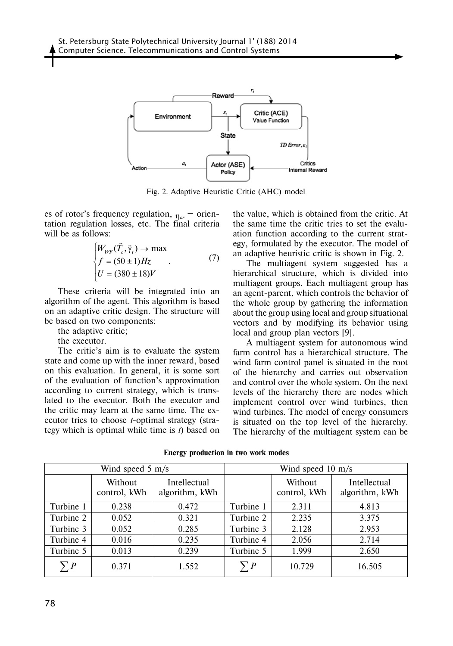

Fig. 2. Adaptive Heuristic Critic (AHC) model

es of rotor's frequency regulation, η*or* – orientation regulation losses, etc. The final criteria will be as follows:

$$
\begin{cases}\nW_{WF}(\vec{T}_c, \vec{\gamma}_t) \to \max \\
f = (50 \pm 1)Hz \\
U = (380 \pm 18)V\n\end{cases}
$$
\n(7)

These criteria will be integrated into an algorithm of the agent. This algorithm is based on an adaptive critic design. The structure will be based on two components:

the adaptive critic;

the executor.

The critic's aim is to evaluate the system state and come up with the inner reward, based on this evaluation. In general, it is some sort of the evaluation of function's approximation according to current strategy, which is translated to the executor. Both the executor and the critic may learn at the same time. The executor tries to choose *t*-optimal strategy (strategy which is optimal while time is *t*) based on

the value, which is obtained from the critic. At the same time the critic tries to set the evaluation function according to the current strategy, formulated by the executor. The model of an adaptive heuristic critic is shown in Fig. 2.

The multiagent system suggested has a hierarchical structure, which is divided into multiagent groups. Each multiagent group has an agent-parent, which controls the behavior of the whole group by gathering the information about the group using local and group situational vectors and by modifying its behavior using local and group plan vectors [9].

A multiagent system for autonomous wind farm control has a hierarchical structure. The wind farm control panel is situated in the root of the hierarchy and carries out observation and control over the whole system. On the next levels of the hierarchy there are nodes which implement control over wind turbines, then wind turbines. The model of energy consumers is situated on the top level of the hierarchy. The hierarchy of the multiagent system can be

| Wind speed $5 \text{ m/s}$ |                         |                                | Wind speed $10 \text{ m/s}$ |                         |                                |
|----------------------------|-------------------------|--------------------------------|-----------------------------|-------------------------|--------------------------------|
|                            | Without<br>control, kWh | Intellectual<br>algorithm, kWh |                             | Without<br>control, kWh | Intellectual<br>algorithm, kWh |
| Turbine 1                  | 0.238                   | 0.472                          | Turbine 1                   | 2.311                   | 4.813                          |
| Turbine 2                  | 0.052                   | 0.321                          | Turbine 2                   | 2.235                   | 3.375                          |
| Turbine 3                  | 0.052                   | 0.285                          | Turbine 3                   | 2.128                   | 2.953                          |
| Turbine 4                  | 0.016                   | 0.235                          | Turbine 4                   | 2.056                   | 2.714                          |
| Turbine 5                  | 0.013                   | 0.239                          | Turbine 5                   | 1.999                   | 2.650                          |
| $\sum P$                   | 0.371                   | 1.552                          | $\sum P$                    | 10.729                  | 16.505                         |

**Energy production in two work modes**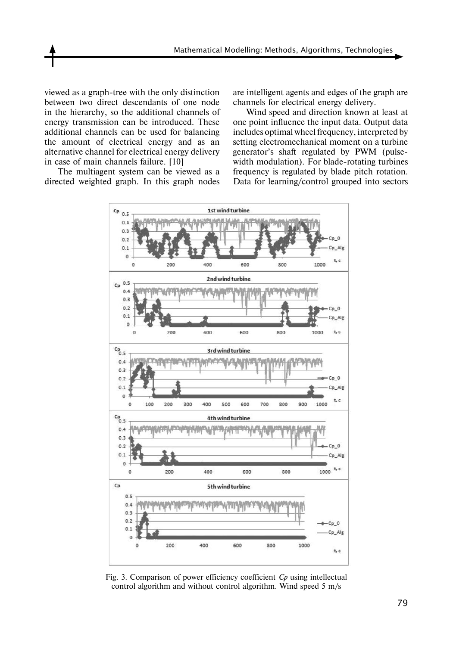viewed as a graph-tree with the only distinction between two direct descendants of one node in the hierarchy, so the additional channels of energy transmission can be introduced. These additional channels can be used for balancing the amount of electrical energy and as an alternative channel for electrical energy delivery in case of main channels failure. [10]

The multiagent system can be viewed as a directed weighted graph. In this graph nodes

are intelligent agents and edges of the graph are channels for electrical energy delivery.

Wind speed and direction known at least at one point influence the input data. Output data includes optimal wheel frequency, interpreted by setting electromechanical moment on a turbine generator's shaft regulated by PWM (pulsewidth modulation). For blade-rotating turbines frequency is regulated by blade pitch rotation. Data for learning/control grouped into sectors



Fig. 3. Comparison of power efficiency coefficient *Cp* using intellectual control algorithm and without control algorithm. Wind speed 5 m/s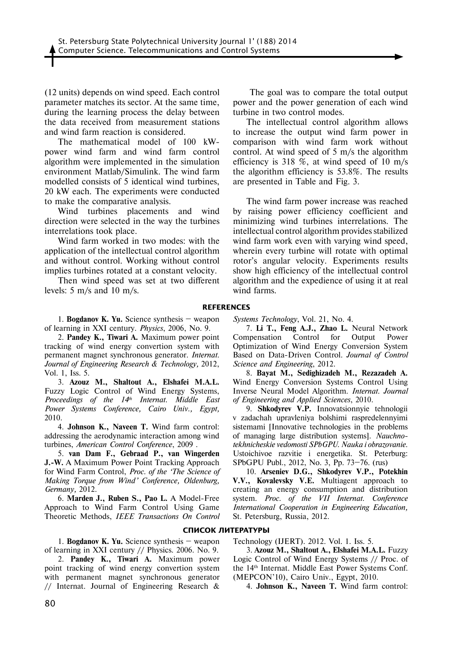(12 units) depends on wind speed. Each control parameter matches its sector. At the same time, during the learning process the delay between the data received from measurement stations and wind farm reaction is considered.

The mathematical model of 100 kWpower wind farm and wind farm control algorithm were implemented in the simulation environment Matlab/Simulink. The wind farm modelled consists of 5 identical wind turbines, 20 kW each. The experiments were conducted to make the comparative analysis.

Wind turbines placements and wind direction were selected in the way the turbines interrelations took place.

Wind farm worked in two modes: with the application of the intellectual control algorithm and without control. Working without control implies turbines rotated at a constant velocity.

Then wind speed was set at two different levels: 5 m/s and 10 m/s.

 The goal was to compare the total output power and the power generation of each wind turbine in two control modes.

The intellectual control algorithm allows to increase the output wind farm power in comparison with wind farm work without control. At wind speed of 5 m/s the algorithm efficiency is 318 %, at wind speed of 10 m/s the algorithm efficiency is 53.8%. The results are presented in Table and Fig. 3.

The wind farm power increase was reached by raising power efficiency coefficient and minimizing wind turbines interrelations. The intellectual control algorithm provides stabilized wind farm work even with varying wind speed, wherein every turbine will rotate with optimal rotor's angular velocity. Experiments results show high efficiency of the intellectual control algorithm and the expedience of using it at real wind farms.

### **References**

1. **Bogdanov K. Yu.** Science synthesis – weapon of learning in XXI century. *Physics*, 2006, No. 9.

2. **Pandey K., Tiwari A.** Maximum power point tracking of wind energy convertion system with permanent magnet synchronous generator. *Internat. Journal of Engineering Research & Technology,* 2012, Vol. 1, Iss. 5.

3. **Azouz M., Shaltout A., Elshafei M.A.L.** Fuzzy Logic Control of Wind Energy Systems, *Proceedings of the 14th Internat. Middle East Power Systems Conference, Cairo Univ., Egypt,*  2010*.*

4. **Johnson K., Naveen T.** Wind farm control: addressing the aerodynamic interaction among wind turbines, *American Control Conference*, 2009 .

5. **van Dam F., Gebraad P., van Wingerden J.-W.** A Maximum Power Point Tracking Approach for Wind Farm Control, *Proc. of the 'The Science of Making Torque from Wind' Conference, Oldenburg, Germany,* 2012*.*

6. **Marden J., Ruben S., Pao L.** A Model-Free Approach to Wind Farm Control Using Game Theoretic Methods, *IEEE Transactions On Control* 

1. **Bogdanov K. Yu.** Science synthesis – weapon of learning in XXI century // Physics. 2006. No. 9.

2. **Pandey K., Tiwari A.** Maximum power point tracking of wind energy convertion system with permanent magnet synchronous generator // Internat. Journal of Engineering Research &

*Systems Technology*, Vol. 21, No. 4.

7. **Li T., Feng A.J., Zhao L.** Neural Network Compensation Control for Output Power Optimization of Wind Energy Conversion System Based on Data-Driven Control. *Journal of Control Science and Engineering*, 2012.

8. **Bayat M., Sedighizadeh M., Rezazadeh A.** Wind Energy Conversion Systems Control Using Inverse Neural Model Algorithm. *Internat. Journal of Engineering and Applied Sciences*, 2010.

9. **Shkodyrev V.P.** Innovatsionnyie tehnologii v zadachah upravleniya bolshimi raspredelennyimi sistemami [Innovative technologies in the problems of managing large distribution systems]. *Nauchnotekhnicheskie vedomosti SPbGPU. Nauka i obrazovanie*. Ustoichivoe razvitie i energetika. St. Peterburg: SPbGPU Publ., 2012, No. 3, Pp. 73–76. (rus)

10. **Arseniev D.G., Shkodyrev V.P., Potekhin V.V., Kovalevsky V.E.** Multiagent approach to creating an energy consumption and distribution system. *Proc. of the VII Internat. Conference International Cooperation in Engineering Education,*  St. Petersburg, Russia, 2012*.*

## **СПИСОК ЛИТЕРАТУРЫ**

Technology (IJERT). 2012. Vol. 1. Iss. 5.

3. **Azouz M., Shaltout A., Elshafei M.A.L.** Fuzzy Logic Control of Wind Energy Systems // Proc. of the 14th Internat. Middle East Power Systems Conf. (MEPCON'10), Cairo Univ., Egypt, 2010*.*

4. **Johnson K., Naveen T.** Wind farm control: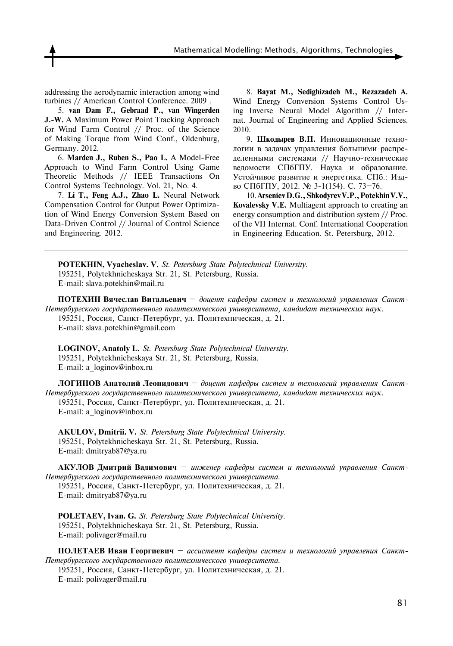Mathematical Modelling: Methods, Algorithms, Technologies

addressing the aerodynamic interaction among wind turbines // American Control Conference. 2009 .

5. **van Dam F., Gebraad P., van Wingerden J.-W.** A Maximum Power Point Tracking Approach for Wind Farm Control // Proc. of the Science of Making Torque from Wind Conf., Oldenburg, Germany*.* 2012.

6. **Marden J., Ruben S., Pao L.** A Model-Free Approach to Wind Farm Control Using Game Theoretic Methods // IEEE Transactions On Control Systems Technology. Vol. 21, No. 4.

7. **Li T., Feng A.J., Zhao L.** Neural Network Compensation Control for Output Power Optimization of Wind Energy Conversion System Based on Data-Driven Control // Journal of Control Science and Engineering. 2012.

8. **Bayat M., Sedighizadeh M., Rezazadeh A.** Wind Energy Conversion Systems Control Using Inverse Neural Model Algorithm // Internat. Journal of Engineering and Applied Sciences. 2010.

9. **Шкодырев В.П.** Инновационные технологии в задачах управления большими распределенными системами // Научно-технические ведомости СПбГПУ. Наука и образование. Устойчивое развитие и энергетика. СПб.: Издво СПбГПУ, 2012. № 3-1(154). С. 73–76.

10. **Arseniev D.G., Shkodyrev V.P., Potekhin V.V., Kovalevsky V.E.** Multiagent approach to creating an energy consumption and distribution system // Proc. of the VII Internat. Conf. International Cooperation in Engineering Education*.* St. Petersburg, 2012*.*

**POTEKHIN, Vyacheslav. V.** *St. Petersburg State Polytechnical University.*  195251, Polytekhnicheskaya Str. 21, St. Petersburg, Russia. E-mail: slava.potekhin@mail.ru

**ПОТЕХИН Вячеслав Витальевич** – *доцент кафедры cистем и технологий управления Санкт-Петербургского государственного политехнического университета, кандидат технических наук.* 195251, Россия, Санкт-Петербург, ул. Политехническая, д. 21.

E-mail: slava.potekhin@gmail.com

**LOGINOV, Anatoly L.** *St. Petersburg State Polytechnical University.*  195251, Polytekhnicheskaya Str. 21, St. Petersburg, Russia. E-mail: a\_loginov@inbox.ru

**ЛОГИНОВ Анатолий Леонидович** – *доцент кафедры cистем и технологий управления Санкт-Петербургского государственного политехнического университета, кандидат технических наук.* 195251, Россия, Санкт-Петербург, ул. Политехническая, д. 21. E-mail: a\_loginov@inbox.ru

**AKULOV, Dmitrii. V.** *St. Petersburg State Polytechnical University.*  195251, Polytekhnicheskaya Str. 21, St. Petersburg, Russia. E-mail: dmitryab87@ya.ru

**АКУЛОВ Дмитрий Вадимович** – *инженер кафедры cистем и технологий управления Санкт-Петербургского государственного политехнического университета.* 195251, Россия, Санкт-Петербург, ул. Политехническая, д. 21.

E-mail: dmitryab87@ya.ru

POLETAEV, Ivan. G. St. Petersburg State Polytechnical University. 195251, Polytekhnicheskaya Str. 21, St. Petersburg, Russia. E-mail: polivager@mail.ru

**ПОЛЕТАЕВ Иван Георгиевич** – *ассистент кафедры систем и технологий управления Санкт-Петербургского государственного политехнического университета.*

195251, Россия, Санкт-Петербург, ул. Политехническая, д. 21. E-mail: polivager@mail.ru